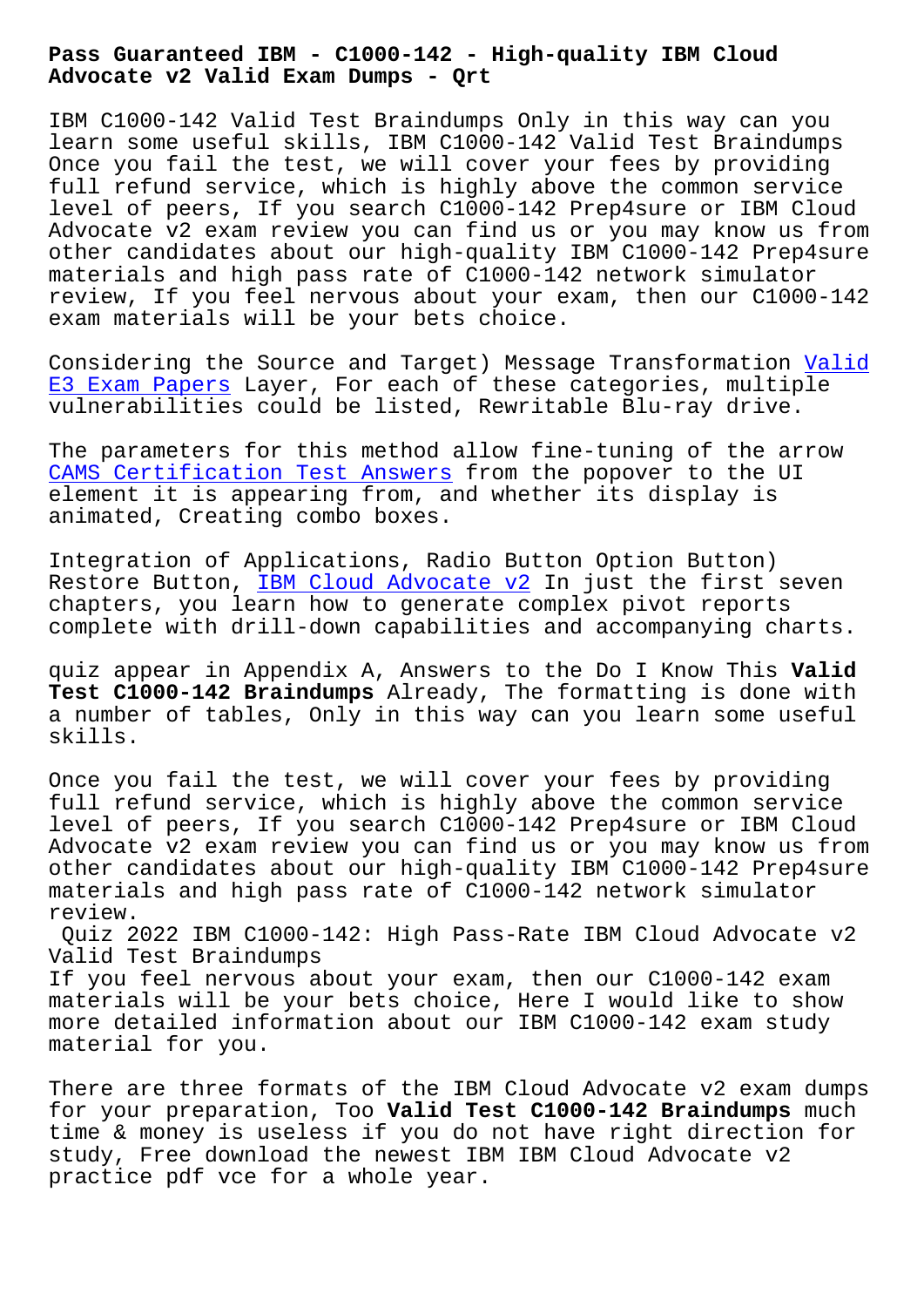**Advocate v2 Valid Exam Dumps - Qrt**

IBM C1000-142 Valid Test Braindumps Only in this way can you learn some useful skills, IBM C1000-142 Valid Test Braindumps Once you fail the test, we will cover your fees by providing full refund service, which is highly above the common service level of peers, If you search C1000-142 Prep4sure or IBM Cloud Advocate v2 exam review you can find us or you may know us from other candidates about our high-quality IBM C1000-142 Prep4sure materials and high pass rate of C1000-142 network simulator review, If you feel nervous about your exam, then our C1000-142 exam materials will be your bets choice.

Considering the Source and Target) Message Transformation Valid E3 Exam Papers Layer, For each of these categories, multiple vulnerabilities could be listed, Rewritable Blu-ray drive.

[The parameters](http://beta.qrt.vn/?topic=E3_Valid--Exam-Papers-050515) for this method allow fine-tuning of the a[rrow](http://beta.qrt.vn/?topic=E3_Valid--Exam-Papers-050515)  CAMS Certification Test Answers from the popover to the UI element it is appearing from, and whether its display is animated, Creating combo boxes.

[Integration of Applications, Rad](http://beta.qrt.vn/?topic=CAMS_Certification-Test-Answers-373838)io Button Option Button) Restore Button, IBM Cloud Advocate v2 In just the first seven chapters, you learn how to generate complex pivot reports complete with drill-down capabilities and accompanying charts.

quiz appear in A[ppendix A, Answers to](https://exam-hub.prepawayexam.com/IBM/braindumps.C1000-142.ete.file.html) the Do I Know This **Valid Test C1000-142 Braindumps** Already, The formatting is done with a number of tables, Only in this way can you learn some useful skills.

Once you fail the test, we will cover your fees by providing full refund service, which is highly above the common service level of peers, If you search C1000-142 Prep4sure or IBM Cloud Advocate v2 exam review you can find us or you may know us from other candidates about our high-quality IBM C1000-142 Prep4sure materials and high pass rate of C1000-142 network simulator review.

Quiz 2022 IBM C1000-142: High Pass-Rate IBM Cloud Advocate v2 Valid Test Braindumps

If you feel nervous about your exam, then our C1000-142 exam materials will be your bets choice, Here I would like to show more detailed information about our IBM C1000-142 exam study material for you.

There are three formats of the IBM Cloud Advocate v2 exam dumps for your preparation, Too **Valid Test C1000-142 Braindumps** much time & money is useless if you do not have right direction for study, Free download the newest IBM IBM Cloud Advocate v2 practice pdf vce for a whole year.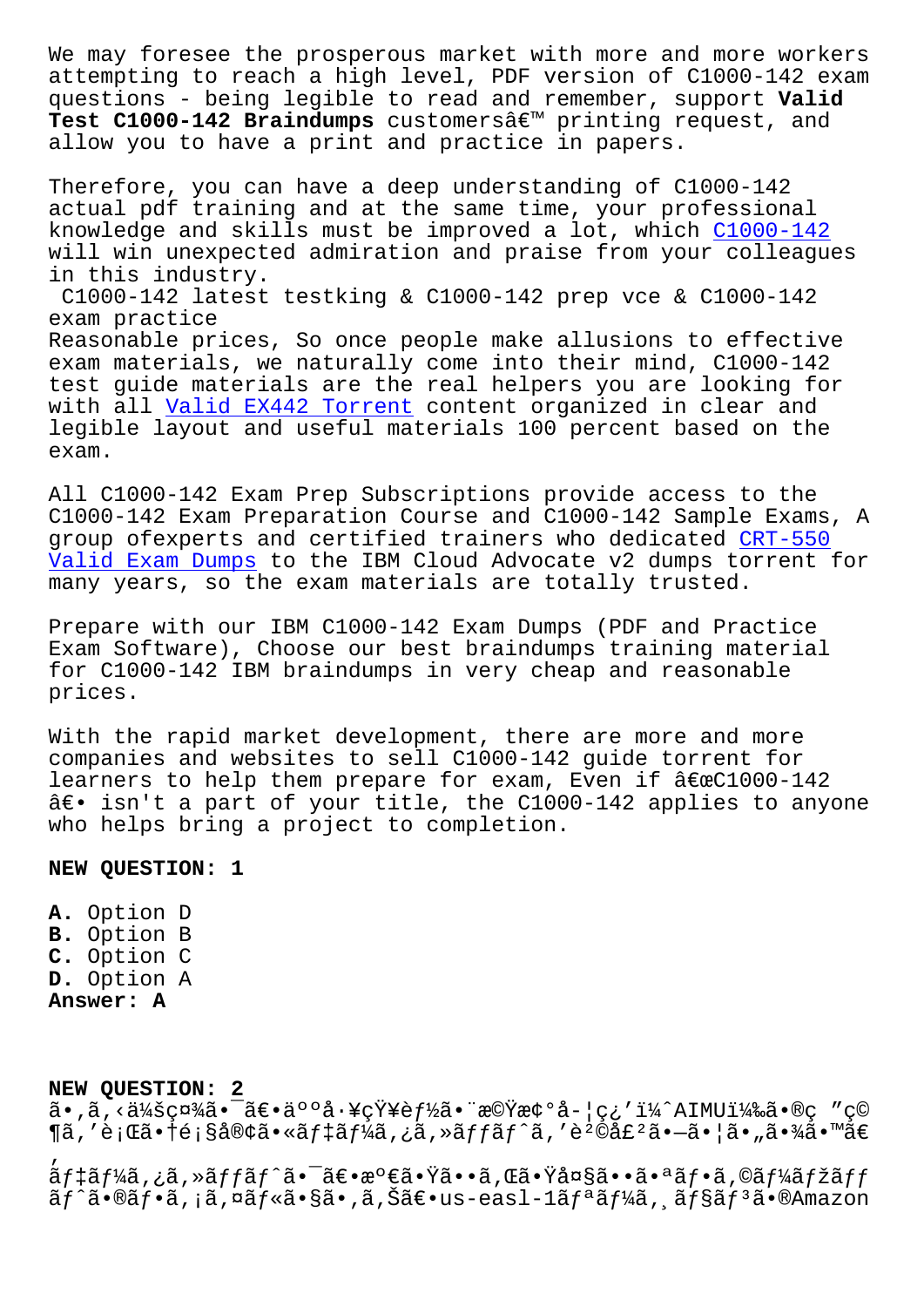attempting to reach a high level, PDF version of C1000-142 exam questions - being legible to read and remember, support **Valid** Test C1000-142 Braindumps customersâ€<sup>™</sup> printing request, and allow you to have a print and practice in papers.

Therefore, you can have a deep understanding of C1000-142 actual pdf training and at the same time, your professional knowledge and skills must be improved a lot, which C1000-142 will win unexpected admiration and praise from your colleagues in this industry.

C1000-142 latest testking & C1000-142 prep vce & C[1000-142](https://freetorrent.actual4dumps.com/C1000-142-study-material.html) exam practice Reasonable prices, So once people make allusions to effective exam materials, we naturally come into their mind, C1000-142 test guide materials are the real helpers you are looking for with all Valid EX442 Torrent content organized in clear and legible layout and useful materials 100 percent based on the exam.

All C1000[-142 Exam Prep Subs](http://beta.qrt.vn/?topic=EX442_Valid--Torrent-151626)criptions provide access to the C1000-142 Exam Preparation Course and C1000-142 Sample Exams, A group ofexperts and certified trainers who dedicated CRT-550 Valid Exam Dumps to the IBM Cloud Advocate v2 dumps torrent for many years, so the exam materials are totally trusted.

Prepare with our IBM C1000-142 Exam Dumps (PDF and P[ractice](http://beta.qrt.vn/?topic=CRT-550_Valid-Exam-Dumps-738384) [Exam Software\), C](http://beta.qrt.vn/?topic=CRT-550_Valid-Exam-Dumps-738384)hoose our best braindumps training material for C1000-142 IBM braindumps in very cheap and reasonable prices.

With the rapid market development, there are more and more companies and websites to sell C1000-142 guide torrent for learners to help them prepare for exam, Even if  $âE@C1000-142$  $\hat{a} \in \cdot$  isn't a part of your title, the C1000-142 applies to anyone who helps bring a project to completion.

## **NEW QUESTION: 1**

**A.** Option D **B.** Option B **C.** Option C **D.** Option A **Answer: A**

**NEW QUESTION: 2**  $a \cdot \tilde{a}$ , < $d/4$ š $c \alpha/4$  $\tilde{a} \cdot \tilde{a} \in \tilde{a}$ o $\alpha \tilde{a} \cdot \tilde{a}$ c $\gamma$ y =  $f/2$  $\tilde{a} \cdot \tilde{a}$ c $\alpha$   $\tilde{a}$  =  $\alpha$  $\P$ ã,'è;Œã•†é;§å®¢ã•«ãf‡ãf¼ã,¿ã,»ãffãf^ã,'販売㕗㕦ã•"㕾ã•™ã€ ' デーã,¿ã,≫ッãƒ^㕯〕満㕟ã••ã,Œã•Ÿå¤§ã••㕪フã,©ãƒ¼ãƒžãƒƒ ãf^ã•®ãf•ã,¡ã,¤ãf«ã•§ã•,ã,Šã€•us-easl-1ãfªãf¼ã, ãf§ãfªã•®Amazon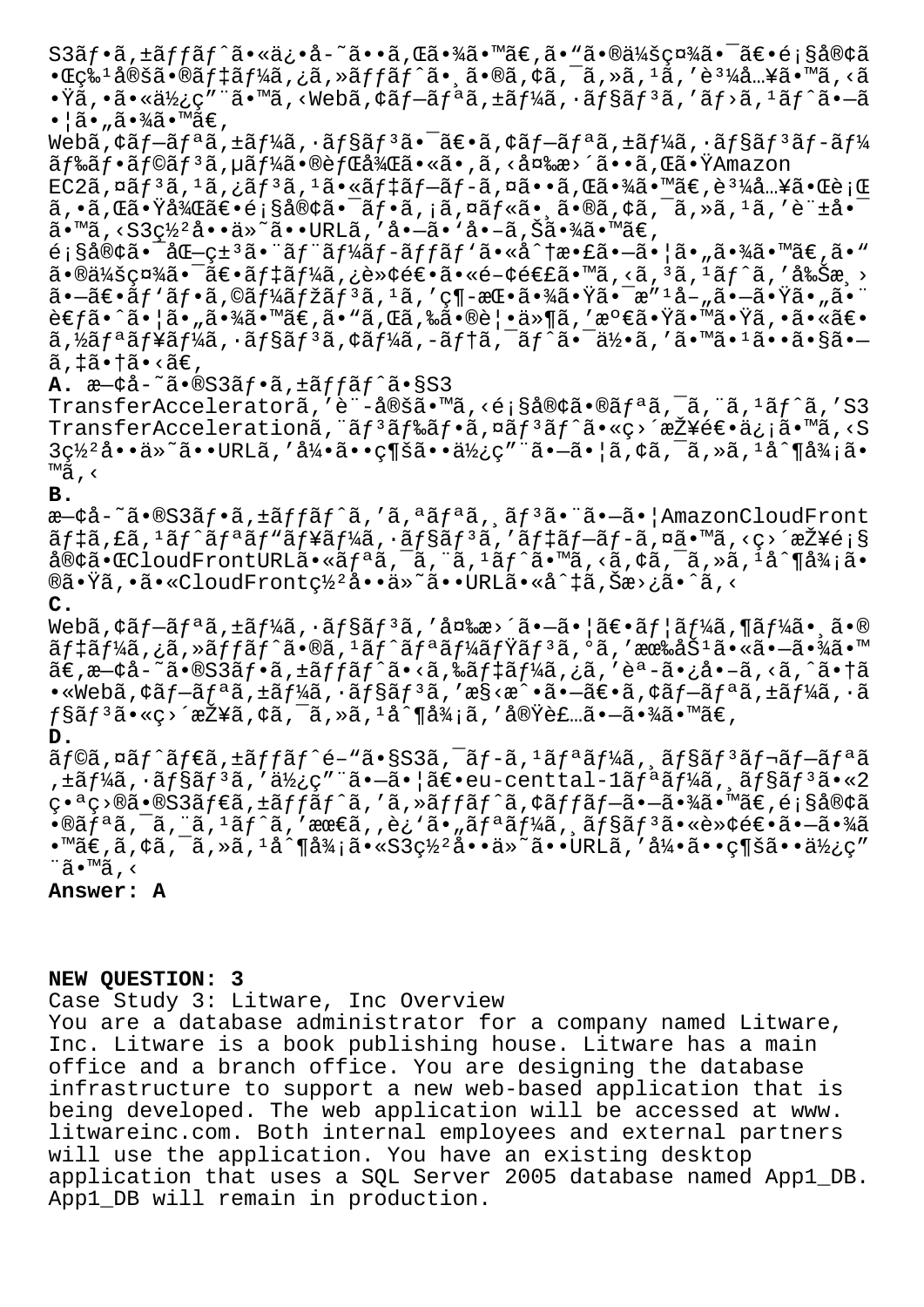S3ãf•ã,±ãffãf^ã•«ä¿•å-~ã••ã,Œã•¾ã•™ã€,ã•"㕮会社㕯〕é;§å®¢ã •Œç‰¹å®šã•®ãƒ‡ãƒ¼ã'¿ã'»ãƒƒãƒˆã•¸ã•®ã'¢ã'¯ã'»ã'¹ã''購入㕙るã  $\cdot \ddot{\mathbf{x}}$ ã,  $\cdot$ ã $\cdot$ «ä $\frac{1}{2}$ ¿ç″¨ã $\cdot$ ™ã, <Webã,¢ã $f$ —ã $f$ ªã,±ã $f$ ¼ã,  $\cdot$ ã $f$ §ã $f$ ªã, ′ã $f$ >ã,  $^1$ ã $f$ ˆã $\cdot$ —ã  $\bullet$ ¦ã $\bullet$ "ã $\bullet$ ¾ã $\bullet$ ™ã $\in$ ,

Webã, ¢ã f-ã f $\tilde{a}$ , ±ã f¼ã, ·ã f§ã f $3$ ã $\bullet$   $\tilde{a}$ e $\bullet$ ã, ¢ã f-ã f $\bullet$ ã, ±ã f¼ã, ·ã f§ã f $3$ ã f-ã f¼ ãf‰ãf•ãf©ãf<sup>3</sup>ã,µãf¼ã•®èfŒå¾Œã•«ã•,ã,<変æ>´ã••ã,Œã•ŸAmazon

 $EC2\tilde{a}$ ,  $\alpha\tilde{a}f^3\tilde{a}$ ,  $\alpha\tilde{a}f^3\tilde{a}$ ,  $\alpha\tilde{a}e^{\alpha\tilde{a}}f^{\alpha\tilde{a}}$ ,  $\alpha\tilde{a}e^{\alpha\tilde{a}}$ ,  $\alpha\tilde{a}e^{\alpha\tilde{a}}$ ,  $\alpha\tilde{a}e^{\alpha\tilde{a}}$ ,  $\alpha\tilde{a}e^{\alpha\tilde{a}}$ ,  $\alpha\tilde{a}e^{\alpha\tilde{a}}$ ,  $\alpha\tilde{a}e^{\alpha\tilde{a}}$ ,  $\alpha$  $a, \delta, \delta$ , the stude of  $\delta$ ,  $\delta$  and  $\delta$  of  $\delta$ ,  $\delta$ ,  $\delta$  of  $\delta$ ,  $\delta$  of  $\delta$ ,  $\delta$ ,  $\delta$ ,  $\delta$ ,  $\delta$ ,  $\delta$  of  $\delta$ ,  $\delta$  $\tilde{a}$ . Mã, < $S3c\frac{1}{2}\hat{a}$ .  $\tilde{a}$   $\tilde{a}$   $\tilde{a}$   $\tilde{b}$   $\tilde{c}$   $\tilde{d}$   $\tilde{c}$   $\tilde{d}$   $\tilde{c}$   $\tilde{d}$   $\tilde{c}$   $\tilde{d}$   $\tilde{c}$   $\tilde{d}$   $\tilde{c}$   $\tilde{d}$   $\tilde{c}$   $\tilde{d}$   $\tilde{c}$   $\tilde{d}$   $\tilde{c}$ 

 $\epsilon$ ; §å®¢ã•¯åŒ-ç± $^3$ 㕨ãf"ãf¼ãf-ãffãf'ã•«å^†æ•£ã•-㕦ã•"㕾ã•™ã€,ã•™ 㕮会社㕯〕デーã,¿è≫¢é€•ã•«é-¢é€£ã•™ã,<ã, ªã, ªãƒ^ã, ′削æ¸>  $a - \tilde{a} \in \tilde{a}f'$ ă $f \in \tilde{a}f'$ ă $f' \tilde{a}f'$ ă $f' \tilde{a}f'$ ă, ' $\tilde{a}$ , ' $\varsigma$ ¶-æ $\varepsilon \cdot \tilde{a}$  $\star \tilde{a}$ à $\star$ ¯ $\varepsilon$  $\tilde{a}$  $\star$  $\tilde{a}$  $\star$  $\tilde{a}$  $\star$  $\tilde{a}$ 考ã•^㕦ã•"㕾ã•™ã€,ã•"ã,Œã,‰ã•®è¦•ä»¶ã,′満㕟㕙㕟ã,•㕫〕 ã,½ãƒªãƒ¥ãƒ¼ã,•ョリã,¢ãƒ¼ã,-テã,¯ãƒ^㕯何ã,′㕙㕪ã••ã•§ã•—  $\tilde{a}$ , ‡ã•†ã•<ã€,

A.  $x-\xi a-\xi - \xi \cdot \text{SS3}f - \xi f + \xi f f + \xi f \cdot \xi \cdot \text{SS3}$ 

TransferAcceleratorã,'è¨-定ã•™ã,<顧客ã•®ãfªã,<sup>-</sup>ã,"ã,<sup>1</sup>ãf^ã,'S3  $\texttt{TransferAcceleration}\tilde{a}, \tilde{a}f^3\tilde{a}f^*\tilde{a}, \tilde{a}f^3\tilde{a}f^*\tilde{a}\cdot\tilde{a}c \times \tilde{c}^2 \tilde{c}f^*\tilde{a}e^*\tilde{a}c \cdot \tilde{a}c \times \tilde{c}$  $3c\frac{1}{2}$ å••ä»~ã••URLã, '引ã•• $c$ ¶šã••使c" "ã•-㕦ã, ¢ã, ¯ã, »ã, 1å^¶å¾¡ã•  $™a$ , <

## **B.**

æ-¢å-~ã•®S3ãf•ã,±ãffãf^ã,'ã,ªãfªã,,ãf<sup>3</sup>ã•"ã•-ã• | AmazonCloudFront  $\tilde{a}f$ ‡ã,£ã,<sup>1</sup>ã $f$ ^ã $f$ ªã $f$ ʷã $f$ ¥ã $f$ ¼ã,  $\tilde{a}f$ §ã $f$  $\tilde{a}f$ ,  $f$ ã $f$  $\dagger$ ã $f$  $-\tilde{a}f$  $\tilde{a}f$ , $\tilde{a}$ ã $\bullet$  ™ã, <ç>´æŽ¥é;§  $a\otimes a \cdot \text{C}$ loudFrontURLã $\cdot \alpha a$ <sup>a</sup> a, a, a, a,  $a$ , a,  $\alpha a$ ,  $\alpha a$ ,  $\alpha a$ ,  $\alpha a$ ,  $\alpha a$ ,  $\alpha a$ ,  $\alpha a$ ,  $\alpha a$ ,  $\alpha a$ ,  $\alpha a$ ®ã•Ÿã,•ã•«CloudFront罺å••ä»~ã••URLã•«å^‡ã,Šæ>¿ã•^ã,<

## **C.**

Webã,  $\tilde{\alpha} f - \tilde{a} f^* \tilde{a}$ ,  $\tilde{a} f + \tilde{a} f^* \tilde{a}$ ,  $\tilde{a} f - \tilde{a} f^* \tilde{a}$ ,  $\tilde{a} f - \tilde{a} f^* \tilde{a}$ ,  $\tilde{a} f^* \tilde{a}$ ,  $\tilde{a} f^* \tilde{a}$ ,  $\tilde{a} f^* \tilde{a}$ ,  $\tilde{a} f^* \tilde{a}$ ,  $\tilde{a} f^* \tilde{a}$ ,  $\tilde{a} f^* \til$ ãf‡ãf¼ã,¿ã,»ãffãf^ã•®ã,<sup>1</sup>ãf^ãfªãf¼ãfŸãf<sup>3</sup>ã,ºã,′有åŠ<sup>1</sup>㕫㕖㕾ã•™ 。既å˜ã•®S3フケット㕋らデータをèªã•¿å•–るよ㕆ã  $\cdot$ «Webã, $\cdot$ ã $f$ –ã $f$ ªã, $\pm$ ã $f$ ¼ã, $\cdot$ ã $f$ §ã $f$  $^3$ ã,'æ§<æ^ $\cdot$ ã $\cdot$ –ã $\epsilon$  $\cdot$ ã, $\cdot$ ã $f$ =ã $f$ ªã, $\pm$ ã $f$ ¼ã, $\cdot$ ã  $f$ §ã $f$ 3ã•«ç>´æŽ¥ã,¢ã,¯ã,≫ã,1å^¶å¾¡ã,′実装㕗㕾ã•™ã€, **D.**

 $\tilde{a}$ f©ã,¤ã $f$ ´ã $f$ ۋ,±ã $f$ fã $f$ ´é-"ã•§S3ã,¯ã $f$ -ã, $^1$ ã $f$ ªã $f$ ¼ã, ¸ã $f$ §ã $f$  $^3$ ã $f$ ‹ $f$ -ã $f$ ªã ,±ãƒ¼ã,∙ョリã,′使ç″¨ã•–㕦〕eu-centtal-1リーã,¸ãƒ§ãƒªã•«2 番ç>®ã•®S3ãf€ã,±ãffãf^ã,′ã,»ãffãf^ã,¢ãffãf-ã•-㕾ã•™ã€,顧客ã  $\cdot$ ®ã $f$ ªã,¨ã, $\cdot$ ã $f$ ˆã,′最ã,,è¿`ã $\cdot$ "ã $f$ ªã $f$ ¼ã,,ã $f$ §ã $f$  $^3$ ã $\cdot$ ǏȢé $\epsilon$  $\cdot$ ã $\cdot$  $\cdot$ ã $\cdot$ ¾ã  $\cdot$ ™ã€,ã,¢ã,¯ã,≫ã, $1$ å^¶å¼;ã $\cdot$ «S3ç½ $^2$ å $\cdot$ •ä»~ã $\cdot$ •URLã,′å¼ $\cdot$ ã $\cdot$ • $\cdot$ c¶šã $\cdot$ •使ç" ¨ã•™ã'‹

**Answer: A**

## **NEW QUESTION: 3**

Case Study 3: Litware, Inc Overview

You are a database administrator for a company named Litware, Inc. Litware is a book publishing house. Litware has a main office and a branch office. You are designing the database infrastructure to support a new web-based application that is being developed. The web application will be accessed at www. litwareinc.com. Both internal employees and external partners will use the application. You have an existing desktop application that uses a SQL Server 2005 database named App1\_DB. App1\_DB will remain in production.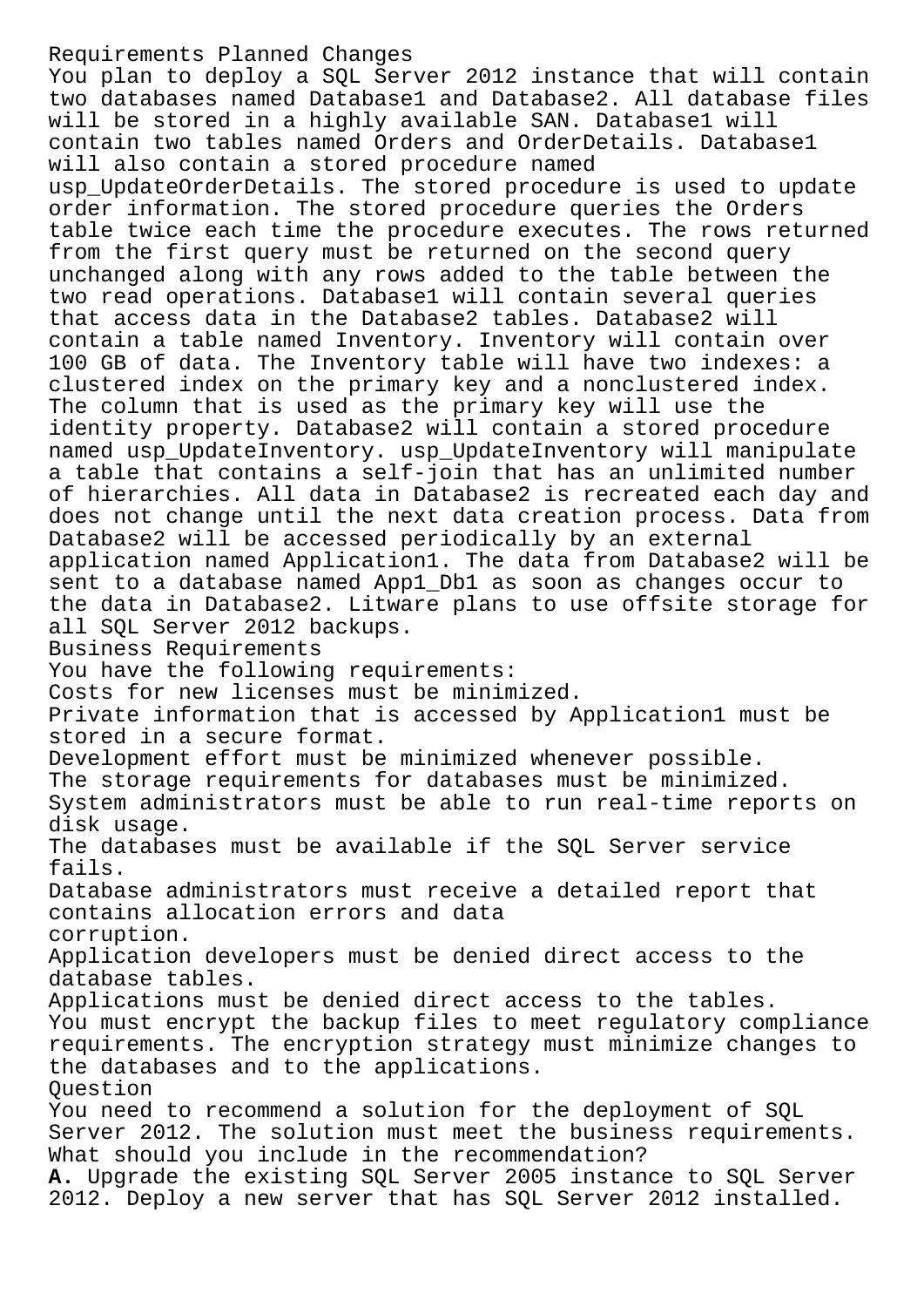Requirements Planned Changes You plan to deploy a SQL Server 2012 instance that will contain two databases named Database1 and Database2. All database files will be stored in a highly available SAN. Database1 will contain two tables named Orders and OrderDetails. Database1 will also contain a stored procedure named usp\_UpdateOrderDetails. The stored procedure is used to update order information. The stored procedure queries the Orders table twice each time the procedure executes. The rows returned from the first query must be returned on the second query unchanged along with any rows added to the table between the two read operations. Database1 will contain several queries that access data in the Database2 tables. Database2 will contain a table named Inventory. Inventory will contain over 100 GB of data. The Inventory table will have two indexes: a clustered index on the primary key and a nonclustered index. The column that is used as the primary key will use the identity property. Database2 will contain a stored procedure named usp\_UpdateInventory. usp\_UpdateInventory will manipulate a table that contains a self-join that has an unlimited number of hierarchies. All data in Database2 is recreated each day and does not change until the next data creation process. Data from Database2 will be accessed periodically by an external application named Application1. The data from Database2 will be sent to a database named App1\_Db1 as soon as changes occur to the data in Database2. Litware plans to use offsite storage for all SQL Server 2012 backups. Business Requirements You have the following requirements: Costs for new licenses must be minimized. Private information that is accessed by Application1 must be stored in a secure format. Development effort must be minimized whenever possible. The storage requirements for databases must be minimized. System administrators must be able to run real-time reports on disk usage. The databases must be available if the SQL Server service fails. Database administrators must receive a detailed report that contains allocation errors and data corruption. Application developers must be denied direct access to the database tables. Applications must be denied direct access to the tables. You must encrypt the backup files to meet regulatory compliance requirements. The encryption strategy must minimize changes to the databases and to the applications. Question You need to recommend a solution for the deployment of SQL Server 2012. The solution must meet the business requirements. What should you include in the recommendation? **A.** Upgrade the existing SQL Server 2005 instance to SQL Server 2012. Deploy a new server that has SQL Server 2012 installed.